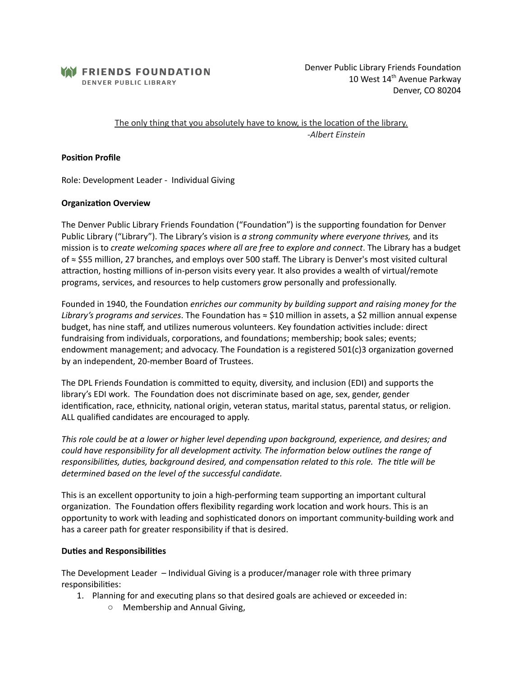

Denver Public Library Friends Foundation 10 West 14<sup>th</sup> Avenue Parkway Denver, CO 80204

The only thing that you absolutely have to know, is the location of the library. *-Albert Einstein*

### **Position Profile**

Role: Development Leader - Individual Giving

#### **Organization Overview**

The Denver Public Library Friends Foundation ("Foundation") is the supporting foundation for Denver Public Library ("Library"). The Library's vision is *a strong community where everyone thrives,* and its mission is to *create welcoming spaces where all are free to explore and connect*. The Library has a budget of ≈ \$55 million, 27 branches, and employs over 500 staff. The Library is Denver's most visited cultural attraction, hosting millions of in-person visits every year. It also provides a wealth of virtual/remote programs, services, and resources to help customers grow personally and professionally.

Founded in 1940, the Foundation *enriches our community by building support and raising money for the Library's programs and services*. The Foundation has  $\approx$  \$10 million in assets, a \$2 million annual expense budget, has nine staff, and utilizes numerous volunteers. Key foundation activities include: direct fundraising from individuals, corporations, and foundations; membership; book sales; events; endowment management; and advocacy. The Foundation is a registered  $501(c)$ 3 organization governed by an independent, 20-member Board of Trustees.

The DPL Friends Foundation is committed to equity, diversity, and inclusion (EDI) and supports the library's EDI work. The Foundation does not discriminate based on age, sex, gender, gender identification, race, ethnicity, national origin, veteran status, marital status, parental status, or religion. ALL qualified candidates are encouraged to apply.

*This role could be at a lower or higher level depending upon background, experience, and desires; and could* have responsibility for all development activity. The information below outlines the range of *responsibilities, duties, background desired, and compensation related to this role. The title will be determined based on the level of the successful candidate.*

This is an excellent opportunity to join a high-performing team supporting an important cultural organization. The Foundation offers flexibility regarding work location and work hours. This is an opportunity to work with leading and sophiscated donors on important community-building work and has a career path for greater responsibility if that is desired.

### **Duties and Responsibilities**

The Development Leader – Individual Giving is a producer/manager role with three primary responsibilities:

- 1. Planning for and executing plans so that desired goals are achieved or exceeded in:
	- Membership and Annual Giving,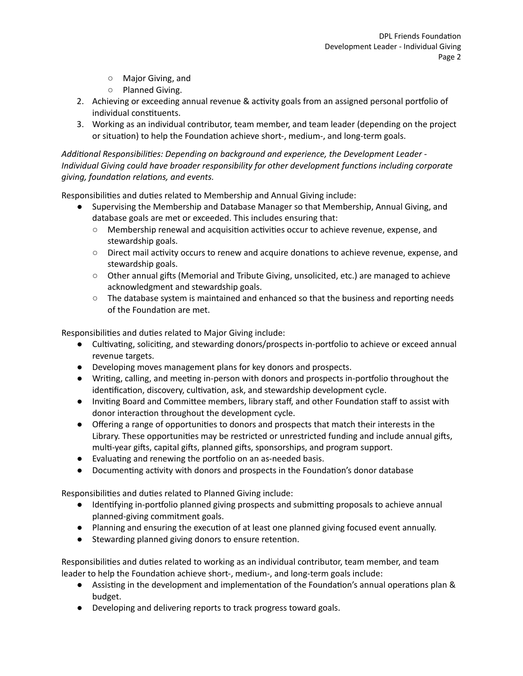- Major Giving, and
- Planned Giving.
- 2. Achieving or exceeding annual revenue & activity goals from an assigned personal portfolio of individual constituents.
- 3. Working as an individual contributor, team member, and team leader (depending on the project or situation) to help the Foundation achieve short-, medium-, and long-term goals.

*Addional Responsibilies: Depending on background and experience, the Development Leader - Individual Giving could have broader responsibility for other development functions including corporate*  $giving$ , *foundation relations*, and *events*.

Responsibilities and duties related to Membership and Annual Giving include:

- Supervising the Membership and Database Manager so that Membership, Annual Giving, and database goals are met or exceeded. This includes ensuring that:
	- Membership renewal and acquisition activities occur to achieve revenue, expense, and stewardship goals.
	- Direct mail activity occurs to renew and acquire donations to achieve revenue, expense, and stewardship goals.
	- $\circ$  Other annual gifts (Memorial and Tribute Giving, unsolicited, etc.) are managed to achieve acknowledgment and stewardship goals.
	- $\circ$  The database system is maintained and enhanced so that the business and reporting needs of the Foundation are met.

Responsibilities and duties related to Major Giving include:

- Cultivating, soliciting, and stewarding donors/prospects in-portfolio to achieve or exceed annual revenue targets.
- Developing moves management plans for key donors and prospects.
- Writing, calling, and meeting in-person with donors and prospects in-portfolio throughout the identification, discovery, cultivation, ask, and stewardship development cycle.
- Inviting Board and Committee members, library staff, and other Foundation staff to assist with donor interaction throughout the development cycle.
- Offering a range of opportunities to donors and prospects that match their interests in the Library. These opportunities may be restricted or unrestricted funding and include annual gifts, multi-year gifts, capital gifts, planned gifts, sponsorships, and program support.
- Evaluating and renewing the portfolio on an as-needed basis.
- Documenting activity with donors and prospects in the Foundation's donor database

Responsibilities and duties related to Planned Giving include:

- Identifying in-portfolio planned giving prospects and submitting proposals to achieve annual planned-giving commitment goals.
- Planning and ensuring the execution of at least one planned giving focused event annually.
- Stewarding planned giving donors to ensure retention.

Responsibilities and duties related to working as an individual contributor, team member, and team leader to help the Foundation achieve short-, medium-, and long-term goals include:

- Assisting in the development and implementation of the Foundation's annual operations plan & budget.
- Developing and delivering reports to track progress toward goals.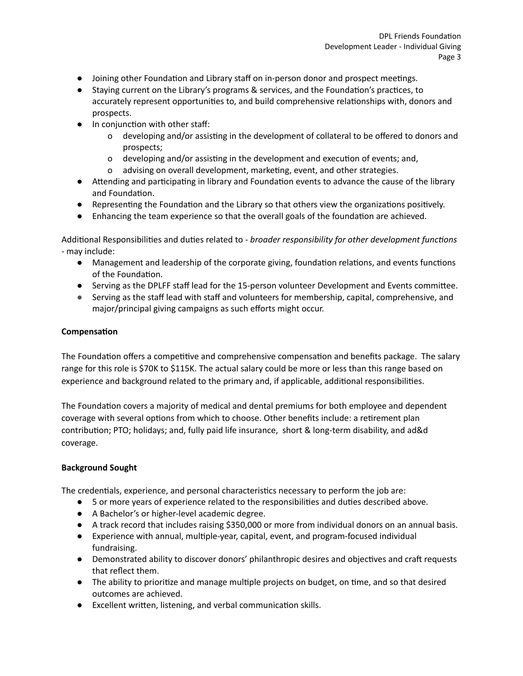- $\bullet$  Joining other Foundation and Library staff on in-person donor and prospect meetings.
- Staying current on the Library's programs & services, and the Foundation's practices, to accurately represent opportunities to, and build comprehensive relationships with, donors and prospects.
- $\bullet$  In conjunction with other staff:
	- o developing and/or assisting in the development of collateral to be offered to donors and prospects;
	- o developing and/or assisting in the development and execution of events; and,
	- o advising on overall development, marketing, event, and other strategies.
- Attending and participating in library and Foundation events to advance the cause of the library and Foundation.
- $\bullet$  Representing the Foundation and the Library so that others view the organizations positively.
- Enhancing the team experience so that the overall goals of the foundation are achieved.

Additional Responsibilities and duties related to - *broader responsibility for other development functions* - may include:

- Management and leadership of the corporate giving, foundation relations, and events functions of the Foundation.
- Serving as the DPLFF staff lead for the 15-person volunteer Development and Events committee.
- Serving as the staff lead with staff and volunteers for membership, capital, comprehensive, and major/principal giving campaigns as such efforts might occur.

# **Compensation**

The Foundation offers a competitive and comprehensive compensation and benefits package. The salary range for this role is \$70K to \$115K. The actual salary could be more or less than this range based on experience and background related to the primary and, if applicable, additional responsibilities.

The Foundation covers a majority of medical and dental premiums for both employee and dependent coverage with several options from which to choose. Other benefits include: a retirement plan contribution; PTO; holidays; and, fully paid life insurance, short & long-term disability, and ad&d coverage.

# **Background Sought**

The credentials, experience, and personal characteristics necessary to perform the job are:

- 5 or more years of experience related to the responsibilities and duties described above.
- A Bachelor's or higher-level academic degree.
- A track record that includes raising \$350,000 or more from individual donors on an annual basis.
- Experience with annual, multiple-year, capital, event, and program-focused individual fundraising.
- Demonstrated ability to discover donors' philanthropic desires and objectives and craft requests that reflect them.
- The ability to prioritize and manage multiple projects on budget, on time, and so that desired outcomes are achieved.
- Excellent written, listening, and verbal communication skills.